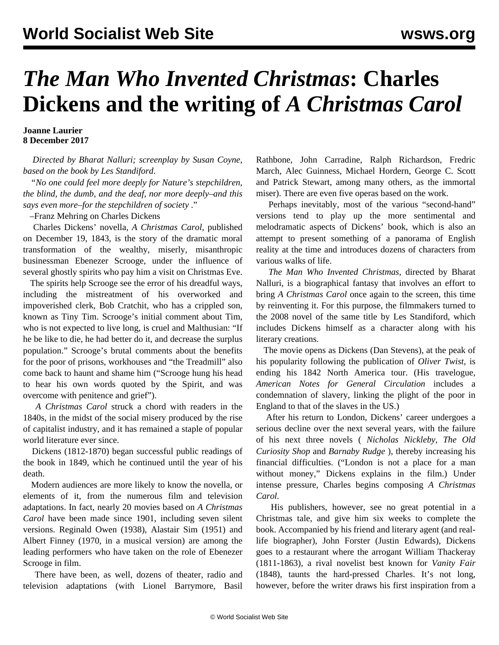## *The Man Who Invented Christmas***: Charles Dickens and the writing of** *A Christmas Carol*

**Joanne Laurier 8 December 2017**

 *Directed by Bharat Nalluri; screenplay by Susan Coyne, based on the book by Les Standiford*.

 *"No one could feel more deeply for Nature's stepchildren, the blind, the dumb, and the deaf, nor more deeply–and this says even more–for the stepchildren of society* ."

–Franz Mehring on Charles Dickens

 Charles Dickens' novella, *A Christmas Carol*, published on December 19, 1843, is the story of the dramatic moral transformation of the wealthy, miserly, misanthropic businessman Ebenezer Scrooge, under the influence of several ghostly spirits who pay him a visit on Christmas Eve.

 The spirits help Scrooge see the error of his dreadful ways, including the mistreatment of his overworked and impoverished clerk, Bob Cratchit, who has a crippled son, known as Tiny Tim. Scrooge's initial comment about Tim, who is not expected to live long, is cruel and Malthusian: "If he be like to die, he had better do it, and decrease the surplus population." Scrooge's brutal comments about the benefits for the poor of prisons, workhouses and "the Treadmill" also come back to haunt and shame him ("Scrooge hung his head to hear his own words quoted by the Spirit, and was overcome with penitence and grief").

 *A Christmas Carol* struck a chord with readers in the 1840s, in the midst of the social misery produced by the rise of capitalist industry, and it has remained a staple of popular world literature ever since.

 Dickens (1812-1870) began successful public readings of the book in 1849, which he continued until the year of his death.

 Modern audiences are more likely to know the novella, or elements of it, from the numerous film and television adaptations. In fact, nearly 20 movies based on *A Christmas Carol* have been made since 1901, including seven silent versions. Reginald Owen (1938), Alastair Sim (1951) and Albert Finney (1970, in a musical version) are among the leading performers who have taken on the role of Ebenezer Scrooge in film.

 There have been, as well, dozens of theater, radio and television adaptations (with Lionel Barrymore, Basil Rathbone, John Carradine, Ralph Richardson, Fredric March, Alec Guinness, Michael Hordern, George C. Scott and Patrick Stewart, among many others, as the immortal miser). There are even five operas based on the work.

 Perhaps inevitably, most of the various "second-hand" versions tend to play up the more sentimental and melodramatic aspects of Dickens' book, which is also an attempt to present something of a panorama of English reality at the time and introduces dozens of characters from various walks of life.

 *The Man Who Invented Christmas*, directed by Bharat Nalluri, is a biographical fantasy that involves an effort to bring *A Christmas Carol* once again to the screen, this time by reinventing it. For this purpose, the filmmakers turned to the 2008 novel of the same title by Les Standiford, which includes Dickens himself as a character along with his literary creations.

 The movie opens as Dickens (Dan Stevens), at the peak of his popularity following the publication of *Oliver Twist*, is ending his 1842 North America tour. (His travelogue, *American Notes for General Circulation* includes a condemnation of slavery, linking the plight of the poor in England to that of the slaves in the US.)

 After his return to London, Dickens' career undergoes a serious decline over the next several years, with the failure of his next three novels ( *Nicholas Nickleby, The Old Curiosity Shop* and *Barnaby Rudge* ), thereby increasing his financial difficulties. ("London is not a place for a man without money," Dickens explains in the film.) Under intense pressure, Charles begins composing *A Christmas Carol.*

 His publishers, however, see no great potential in a Christmas tale, and give him six weeks to complete the book. Accompanied by his friend and literary agent (and reallife biographer), John Forster (Justin Edwards), Dickens goes to a restaurant where the arrogant William Thackeray (1811-1863), a rival novelist best known for *Vanity Fair* (1848), taunts the hard-pressed Charles. It's not long, however, before the writer draws his first inspiration from a